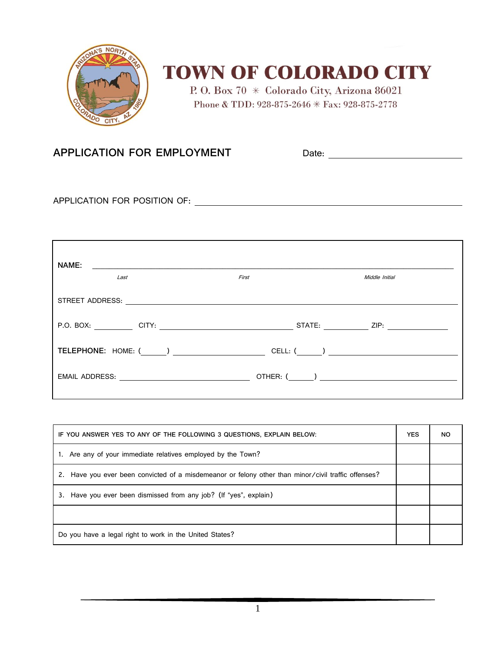

## **TOWN OF COLORADO CITY**

P.O. Box 70 \* Colorado City, Arizona 86021 Phone & TDD: 928-875-2646 \* Fax: 928-875-2778

## **APPLICATION FOR EMPLOYMENT** Date: Date:

APPLICATION FOR POSITION OF:

| NAME:<br><u> 1989 - Johann Harry Harry Harry Harry Harry Harry Harry Harry Harry Harry Harry Harry Harry Harry Harry Harry</u>                                                                                                                                                                                                                                                                                                |            |                |
|-------------------------------------------------------------------------------------------------------------------------------------------------------------------------------------------------------------------------------------------------------------------------------------------------------------------------------------------------------------------------------------------------------------------------------|------------|----------------|
| Last                                                                                                                                                                                                                                                                                                                                                                                                                          | First      | Middle Initial |
|                                                                                                                                                                                                                                                                                                                                                                                                                               |            |                |
|                                                                                                                                                                                                                                                                                                                                                                                                                               |            |                |
| $\textbf{TELEPHONE:} \hspace{0.2cm} \textbf{(1)} \hspace{0.2cm} \textbf{(2)} \hspace{0.2cm} \textbf{(3)} \hspace{0.2cm} \textbf{(4)} \hspace{0.2cm} \textbf{(5)} \hspace{0.2cm} \textbf{(6)} \hspace{0.2cm} \textbf{(7)} \hspace{0.2cm} \textbf{(8)} \hspace{0.2cm} \textbf{(9)} \hspace{0.2cm} \textbf{(1)} \hspace{0.2cm} \textbf{(1)} \hspace{0.2cm} \textbf{(1)} \hspace{0.2cm} \textbf{(2)} \hspace{0.2cm} \textbf{(3)}$ |            |                |
| EMAIL ADDRESS: <u>______________________________</u>                                                                                                                                                                                                                                                                                                                                                                          | OTHER: ( ) |                |

| IF YOU ANSWER YES TO ANY OF THE FOLLOWING 3 QUESTIONS, EXPLAIN BELOW:                               |  | <b>NO</b> |
|-----------------------------------------------------------------------------------------------------|--|-----------|
| 1. Are any of your immediate relatives employed by the Town?                                        |  |           |
| 2. Have you ever been convicted of a misdemeanor or felony other than minor/civil traffic offenses? |  |           |
| 3. Have you ever been dismissed from any job? (If "yes", explain)                                   |  |           |
|                                                                                                     |  |           |
| Do you have a legal right to work in the United States?                                             |  |           |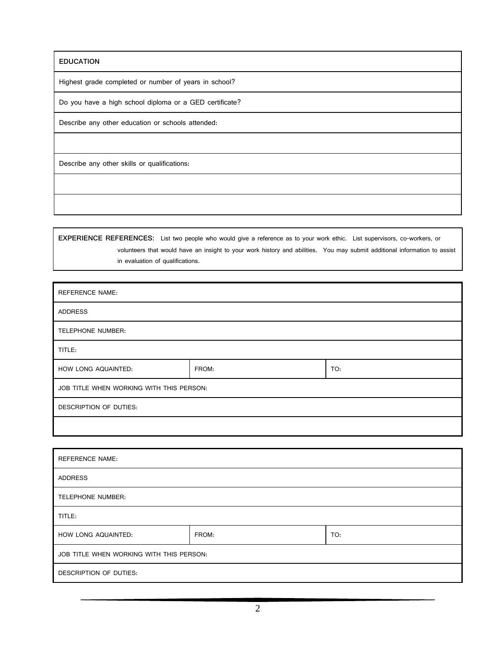**EDUCATION**

Highest grade completed or number of years in school?

Do you have a high school diploma or a GED certificate?

Describe any other education or schools attended:

Describe any other skills or qualifications:

**EXPERIENCE REFERENCES:** List two people who would give a reference as to your work ethic. List supervisors, co-workers, or volunteers that would have an insight to your work history and abilities. You may submit additional information to assist in evaluation of qualifications.

| <b>REFERENCE NAME:</b>                   |       |     |  |  |
|------------------------------------------|-------|-----|--|--|
| ADDRESS                                  |       |     |  |  |
| TELEPHONE NUMBER:                        |       |     |  |  |
| TITLE:                                   |       |     |  |  |
| HOW LONG AQUAINTED:                      | FROM: | TO: |  |  |
| JOB TITLE WHEN WORKING WITH THIS PERSON: |       |     |  |  |
| DESCRIPTION OF DUTIES:                   |       |     |  |  |
|                                          |       |     |  |  |

| <b>REFERENCE NAME:</b>                   |       |     |  |  |
|------------------------------------------|-------|-----|--|--|
| <b>ADDRESS</b>                           |       |     |  |  |
| TELEPHONE NUMBER:                        |       |     |  |  |
| TITLE:                                   |       |     |  |  |
| HOW LONG AQUAINTED:                      | FROM: | TO: |  |  |
| JOB TITLE WHEN WORKING WITH THIS PERSON: |       |     |  |  |
| DESCRIPTION OF DUTIES:                   |       |     |  |  |